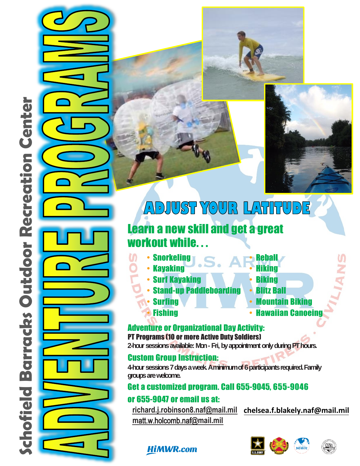

# ADJUST YOUR LATITUDE

## **Learn a new skill and get a great** workout while...

- Snorkeling
- Kayaking

**Surfing** 

**Fishing** 

- **· Surf Kavaking**
- **Stand-up Paddleboard**
- Hiking **Biking**

**Reball** 

- **Blitz Ball**
- **Mountain Biking**
- Hawaiian Canoeing

**Adventure or Organizational Day Activity: PT Programs (10 or more Active Duty Soldiers)** 

2-hour sessions available: Mon - Fri, by appointment only during PT hours.

### **Custom Group Instruction:**

4-hour sessions 7 days a week. A minimum of 6 participants required. Family groups are welcome.

### Get a customized program. Call 655-9045, 655-9046

### or 655-9047 or email us at:

richard.j.robinson8.naf@mail.mil chelsea.f.blakely.naf@mail.mil matt.w.holcomb.naf@mail.mil







## **HiMWR.com**